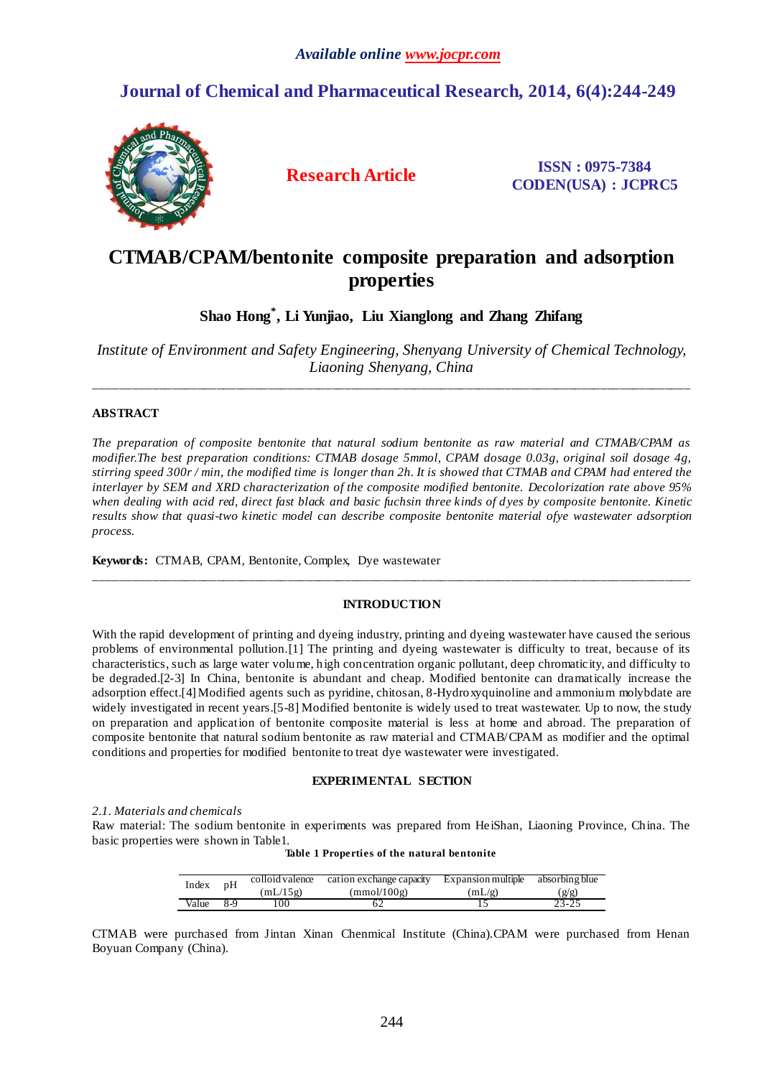# **Journal of Chemical and Pharmaceutical Research, 2014, 6(4):244-249**



**Research Article ISSN : 0975-7384 CODEN(USA) : JCPRC5**

# **CTMAB/CPAM/bentonite composite preparation and adsorption properties**

**Shao Hong\* , Li Yunjiao, Liu Xianglong and Zhang Zhifang**

*Institute of Environment and Safety Engineering, Shenyang University of Chemical Technology, Liaoning Shenyang, China*

\_\_\_\_\_\_\_\_\_\_\_\_\_\_\_\_\_\_\_\_\_\_\_\_\_\_\_\_\_\_\_\_\_\_\_\_\_\_\_\_\_\_\_\_\_\_\_\_\_\_\_\_\_\_\_\_\_\_\_\_\_\_\_\_\_\_\_\_\_\_\_\_\_\_\_\_\_\_\_\_\_\_\_\_\_\_\_\_\_\_\_\_\_

# **ABSTRACT**

*The preparation of composite bentonite that natural sodium bentonite as raw material and CTMAB/CPAM as modifier.The best preparation conditions: CTMAB dosage 5mmol, CPAM dosage 0.03g, original soil dosage 4g, stirring speed 300r / min, the modified time is longer than 2h. It is showed that CTMAB and CPAM had entered the interlayer by SEM and XRD characterization of the composite modified bentonite. Decolorization rate above 95% when dealing with acid red, direct fast black and basic fuchsin three kinds of d yes by composite bentonite. Kinetic results show that quasi-two kinetic model can describe composite bentonite material ofye wastewater adsorption process.*

**Keywords:** CTMAB, CPAM, Bentonite, Complex, Dye wastewater

# **INTRODUCTION**

\_\_\_\_\_\_\_\_\_\_\_\_\_\_\_\_\_\_\_\_\_\_\_\_\_\_\_\_\_\_\_\_\_\_\_\_\_\_\_\_\_\_\_\_\_\_\_\_\_\_\_\_\_\_\_\_\_\_\_\_\_\_\_\_\_\_\_\_\_\_\_\_\_\_\_\_\_\_\_\_\_\_\_\_\_\_\_\_\_\_\_\_\_

With the rapid development of printing and dyeing industry, printing and dyeing wastewater have caused the serious problems of environmental pollution.[1] The printing and dyeing wastewater is difficulty to treat, because of its characteristics, such as large water volume, high concentration organic pollutant, deep chromaticity, and difficulty to be degraded.[2-3] In China, bentonite is abundant and cheap. Modified bentonite can dramatically increase the adsorption effect.[4]Modified agents such as pyridine, chitosan, 8-Hydroxyquinoline and ammonium molybdate are widely investigated in recent years.[5-8] Modified bentonite is widely used to treat wastewater. Up to now, the study on preparation and application of bentonite composite material is less at home and abroad. The preparation of composite bentonite that natural sodium bentonite as raw material and CTMAB/CPAM as modifier and the optimal conditions and properties for modified bentonite to treat dye wastewater were investigated.

# **EXPERIMENTAL SECTION**

# *2.1. Materials and chemicals*

Raw material: The sodium bentonite in experiments was prepared from HeiShan, Liaoning Province, China. The basic properties were shown in Table1.

| Index | pH  | colloid valence | cation exchange capacity | Expansion multiple | absorbing blue |
|-------|-----|-----------------|--------------------------|--------------------|----------------|
|       |     | (mL/15g)        | (mmol/100g)              | (mL/g)             | g/g)           |
| Value | 8-9 | 00،             |                          |                    | 23-25          |

CTMAB were purchased from Jintan Xinan Chenmical Institute (China).CPAM were purchased from Henan Boyuan Company (China).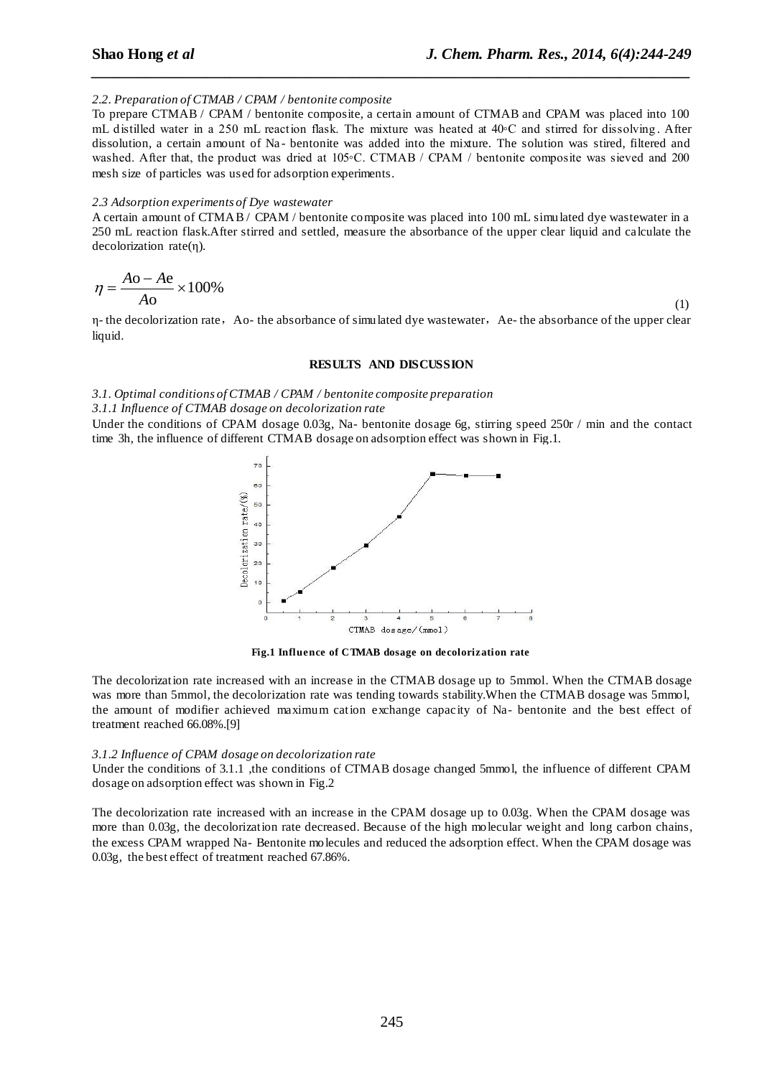## *2.2. Preparation of CTMAB / CPAM / bentonite composite*

To prepare CTMAB / CPAM / bentonite composite, a certain amount of CTMAB and CPAM was placed into 100 mL distilled water in a 250 mL reaction flask. The mixture was heated at 40◦C and stirred for dissolving . After dissolution, a certain amount of Na- bentonite was added into the mixture. The solution was stired, filtered and washed. After that, the product was dried at 105◦C. CTMAB / CPAM / bentonite composite was sieved and 200 mesh size of particles was used for adsorption experiments.

*\_\_\_\_\_\_\_\_\_\_\_\_\_\_\_\_\_\_\_\_\_\_\_\_\_\_\_\_\_\_\_\_\_\_\_\_\_\_\_\_\_\_\_\_\_\_\_\_\_\_\_\_\_\_\_\_\_\_\_\_\_\_\_\_\_\_\_\_\_\_\_\_\_\_\_\_\_\_*

### *2.3 Adsorption experiments of Dye wastewater*

A certain amount of CTMAB / CPAM / bentonite composite was placed into 100 mL simulated dye wastewater in a 250 mL reaction flask.After stirred and settled, measure the absorbance of the upper clear liquid and calculate the decolorization rate(η).

$$
\eta = \frac{A\text{o} - A\text{e}}{A\text{o}} \times 100\% \tag{1}
$$

η- the decolorization rate, Ao- the absorbance of simulated dye wastewater, Ae- the absorbance of the upper clear liquid.

## **RESULTS AND DISCUSSION**

### *3.1. Optimal conditions of CTMAB / CPAM / bentonite composite preparation*

### *3.1.1 Influence of CTMAB dosage on decolorization rate*

Under the conditions of CPAM dosage 0.03g, Na- bentonite dosage 6g, stirring speed 250r / min and the contact time 3h, the influence of different CTMAB dosage on adsorption effect was shown in Fig.1.



**Fig.1 Influence of CTMAB dosage on decolorization rate**

The decolorization rate increased with an increase in the CTMAB dosage up to 5mmol. When the CTMAB dosage was more than 5mmol, the decolorization rate was tending towards stability.When the CTMAB dosage was 5mmol, the amount of modifier achieved maximum cation exchange capacity of Na- bentonite and the best effect of treatment reached 66.08%.[9]

### *3.1.2 Influence of CPAM dosage on decolorization rate*

Under the conditions of 3.1.1 , the conditions of CTMAB dosage changed 5mmol, the influence of different CPAM dosage on adsorption effect was shown in Fig.2

The decolorization rate increased with an increase in the CPAM dosage up to 0.03g. When the CPAM dosage was more than 0.03g, the decolorization rate decreased. Because of the high molecular weight and long carbon chains, the excess CPAM wrapped Na- Bentonite molecules and reduced the adsorption effect. When the CPAM dosage was 0.03g, the best effect of treatment reached 67.86%.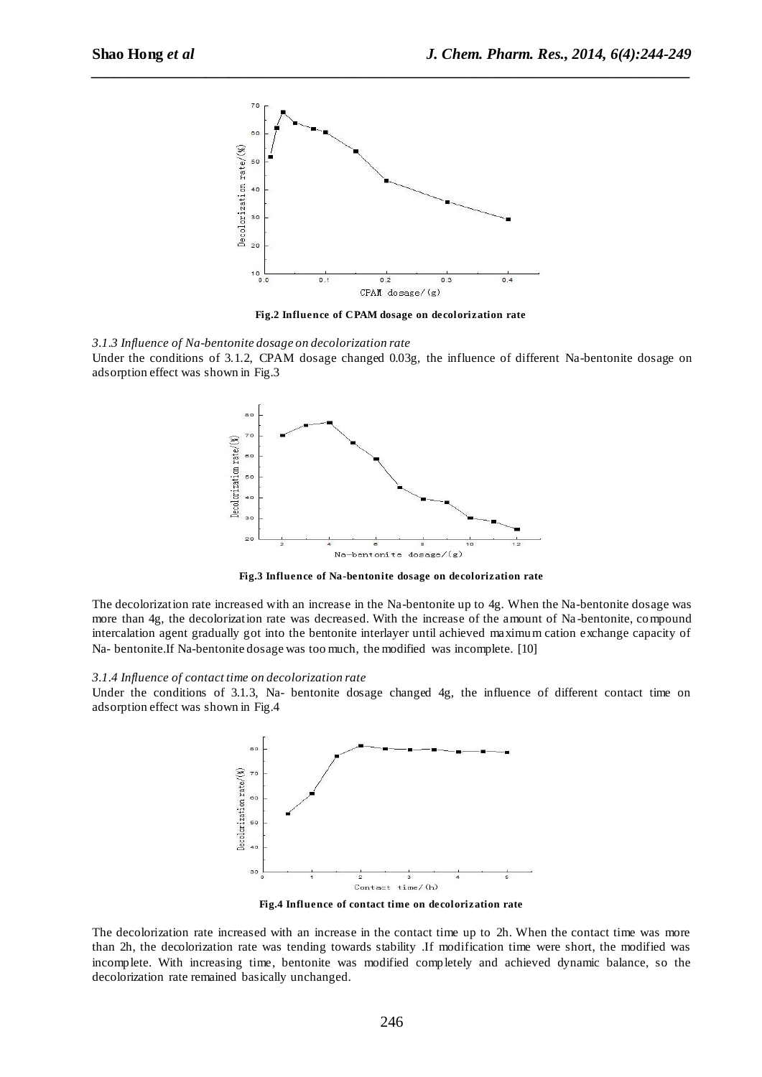

*\_\_\_\_\_\_\_\_\_\_\_\_\_\_\_\_\_\_\_\_\_\_\_\_\_\_\_\_\_\_\_\_\_\_\_\_\_\_\_\_\_\_\_\_\_\_\_\_\_\_\_\_\_\_\_\_\_\_\_\_\_\_\_\_\_\_\_\_\_\_\_\_\_\_\_\_\_\_*

**Fig.2 Influence of CPAM dosage on decolorization rate**





**Fig.3 Influence of Na-bentonite dosage on decolorization rate**

The decolorization rate increased with an increase in the Na-bentonite up to 4g. When the Na-bentonite dosage was more than 4g, the decolorization rate was decreased. With the increase of the amount of Na -bentonite, compound intercalation agent gradually got into the bentonite interlayer until achieved maximum cation exchange capacity of Na- bentonite.If Na-bentonite dosage was too much, the modified was incomplete. [10]

#### *3.1.4 Influence of contact time on decolorization rate*

Under the conditions of 3.1.3, Na- bentonite dosage changed 4g, the influence of different contact time on adsorption effect was shown in Fig.4



**Fig.4 Influence of contact time on decolorization rate**

The decolorization rate increased with an increase in the contact time up to 2h. When the contact time was more than 2h, the decolorization rate was tending towards stability .If modification time were short, the modified was incomplete. With increasing time, bentonite was modified completely and achieved dynamic balance, so the decolorization rate remained basically unchanged.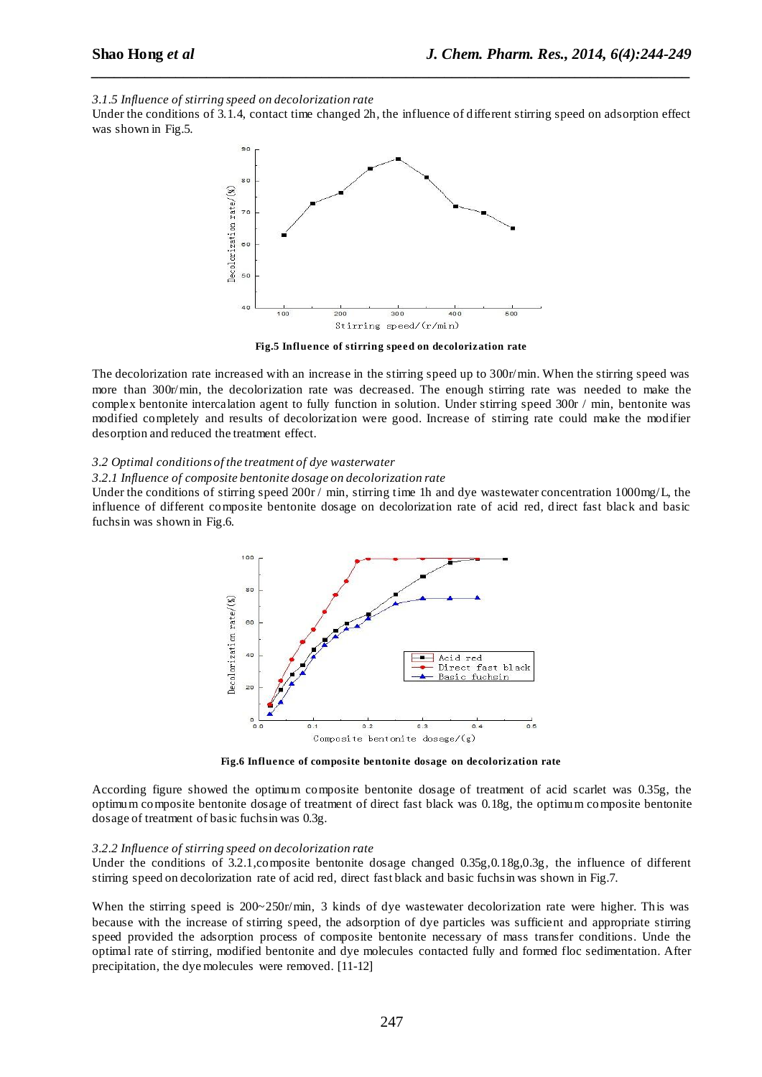*3.1.5 Influence of stirring speed on decolorization rate*

Under the conditions of 3.1.4, contact time changed 2h, the influence of different stirring speed on adsorption effect was shown in Fig.5.

*\_\_\_\_\_\_\_\_\_\_\_\_\_\_\_\_\_\_\_\_\_\_\_\_\_\_\_\_\_\_\_\_\_\_\_\_\_\_\_\_\_\_\_\_\_\_\_\_\_\_\_\_\_\_\_\_\_\_\_\_\_\_\_\_\_\_\_\_\_\_\_\_\_\_\_\_\_\_*



**Fig.5 Influence of stirring speed on decolorization rate**

The decolorization rate increased with an increase in the stirring speed up to 300r/min. When the stirring speed was more than 300r/min, the decolorization rate was decreased. The enough stirring rate was needed to make the complex bentonite intercalation agent to fully function in solution. Under stirring speed 300r / min, bentonite was modified completely and results of decolorization were good. Increase of stirring rate could make the modifier desorption and reduced the treatment effect.

#### *3.2 Optimal conditions of the treatment of dye wasterwater*

*3.2.1 Influence of composite bentonite dosage on decolorization rate*

Under the conditions of stirring speed  $200r / min$ , stirring time 1h and dye wastewater concentration 1000mg/L, the influence of different composite bentonite dosage on decolorization rate of acid red, direct fast black and basic fuchsin was shown in Fig.6.



**Fig.6 Influence of composite bentonite dosage on decolorization rate**

According figure showed the optimum composite bentonite dosage of treatment of acid scarlet was 0.35g, the optimum composite bentonite dosage of treatment of direct fast black was 0.18g, the optimum composite bentonite dosage of treatment of basic fuchsin was 0.3g.

#### *3.2.2 Influence of stirring speed on decolorization rate*

Under the conditions of 3.2.1,composite bentonite dosage changed 0.35g,0.18g,0.3g, the influence of different stirring speed on decolorization rate of acid red, direct fast black and basic fuchsin was shown in Fig.7.

When the stirring speed is  $200~250r/\text{min}$ , 3 kinds of dye wastewater decolorization rate were higher. This was because with the increase of stirring speed, the adsorption of dye particles was sufficient and appropriate stirring speed provided the adsorption process of composite bentonite necessary of mass transfer conditions. Unde the optimal rate of stirring, modified bentonite and dye molecules contacted fully and formed floc sedimentation. After precipitation, the dye molecules were removed. [11-12]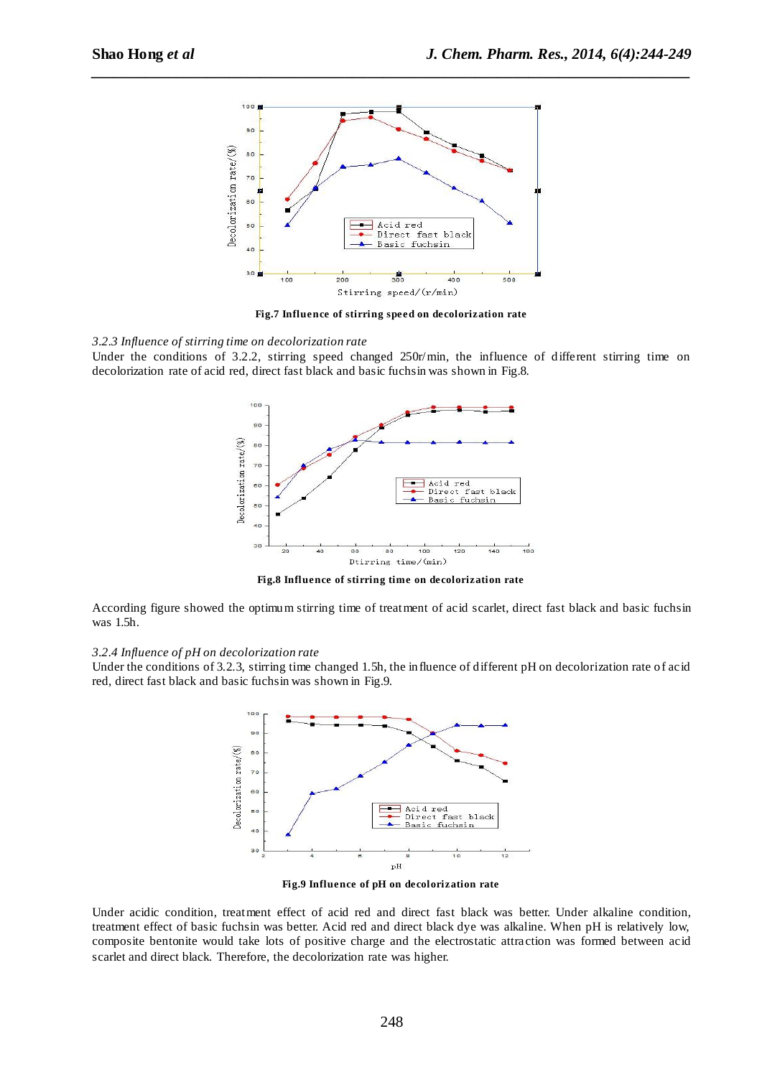

*\_\_\_\_\_\_\_\_\_\_\_\_\_\_\_\_\_\_\_\_\_\_\_\_\_\_\_\_\_\_\_\_\_\_\_\_\_\_\_\_\_\_\_\_\_\_\_\_\_\_\_\_\_\_\_\_\_\_\_\_\_\_\_\_\_\_\_\_\_\_\_\_\_\_\_\_\_\_*

**Fig.7 Influence of stirring speed on decolorization rate**

*3.2.3 Influence of stirring time on decolorization rate*

Under the conditions of 3.2.2, stirring speed changed 250r/min, the influence of different stirring time on decolorization rate of acid red, direct fast black and basic fuchsin was shown in Fig.8.



**Fig.8 Influence of stirring time on decolorization rate**

According figure showed the optimum stirring time of treatment of acid scarlet, direct fast black and basic fuchsin was 1.5h.

#### *3.2.4 Influence of pH on decolorization rate*

Under the conditions of 3.2.3, stirring time changed 1.5h, the influence of different pH on decolorization rate of acid red, direct fast black and basic fuchsin was shown in Fig.9.



**Fig.9 Influence of pH on decolorization rate**

Under acidic condition, treatment effect of acid red and direct fast black was better. Under alkaline condition, treatment effect of basic fuchsin was better. Acid red and direct black dye was alkaline. When pH is relatively low, composite bentonite would take lots of positive charge and the electrostatic attra ction was formed between acid scarlet and direct black. Therefore, the decolorization rate was higher.